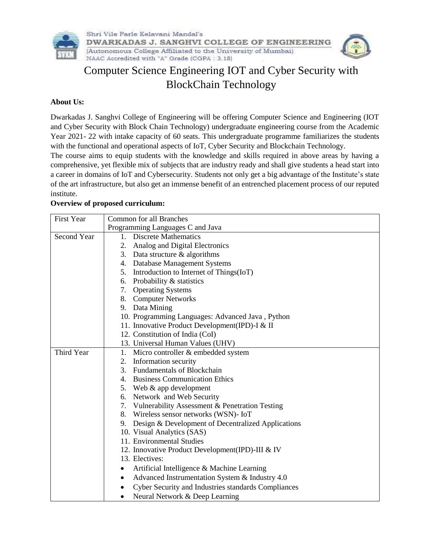

# Computer Science Engineering IOT and Cyber Security with BlockChain Technology

#### **About Us:**

Dwarkadas J. Sanghvi College of Engineering will be offering Computer Science and Engineering (IOT and Cyber Security with Block Chain Technology) undergraduate engineering course from the Academic Year 2021- 22 with intake capacity of 60 seats. This undergraduate programme familiarizes the students with the functional and operational aspects of IoT, Cyber Security and Blockchain Technology.

The course aims to equip students with the knowledge and skills required in above areas by having a comprehensive, yet flexible mix of subjects that are industry ready and shall give students a head start into a career in domains of IoT and Cybersecurity. Students not only get a big advantage of the Institute's state of the art infrastructure, but also get an immense benefit of an entrenched placement process of our reputed institute.

#### **Overview of proposed curriculum:**

| <b>First Year</b>  | <b>Common for all Branches</b><br>Programming Languages C and Java |  |
|--------------------|--------------------------------------------------------------------|--|
|                    |                                                                    |  |
| <b>Second Year</b> | 1. Discrete Mathematics                                            |  |
|                    | Analog and Digital Electronics<br>2.                               |  |
|                    | 3. Data structure $&$ algorithms                                   |  |
|                    | 4. Database Management Systems                                     |  |
|                    | 5. Introduction to Internet of Things (IoT)                        |  |
|                    | 6. Probability & statistics                                        |  |
|                    | 7. Operating Systems                                               |  |
|                    | 8. Computer Networks                                               |  |
|                    | 9. Data Mining                                                     |  |
|                    | 10. Programming Languages: Advanced Java, Python                   |  |
|                    | 11. Innovative Product Development(IPD)-I & II                     |  |
|                    | 12. Constitution of India (CoI)                                    |  |
|                    | 13. Universal Human Values (UHV)                                   |  |
| Third Year         | 1. Micro controller & embedded system                              |  |
|                    | Information security<br>2.                                         |  |
|                    | 3. Fundamentals of Blockchain                                      |  |
|                    | 4. Business Communication Ethics                                   |  |
|                    | 5. Web & app development                                           |  |
|                    | 6. Network and Web Security                                        |  |
|                    | 7. Vulnerability Assessment & Penetration Testing                  |  |
|                    | 8. Wireless sensor networks (WSN)- IoT                             |  |
|                    | 9. Design & Development of Decentralized Applications              |  |
|                    | 10. Visual Analytics (SAS)                                         |  |
|                    | 11. Environmental Studies                                          |  |
|                    | 12. Innovative Product Development(IPD)-III & IV                   |  |
|                    | 13. Electives:                                                     |  |
|                    | Artificial Intelligence & Machine Learning                         |  |
|                    | Advanced Instrumentation System & Industry 4.0                     |  |
|                    | Cyber Security and Industries standards Compliances<br>$\bullet$   |  |
|                    | Neural Network & Deep Learning<br>$\bullet$                        |  |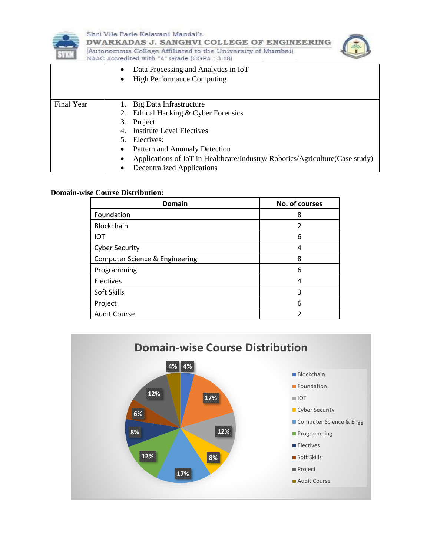

Shri Vile Parle Kelavani Mandal's DWARKADAS J. SANGHVI COLLEGE OF ENGINEERING (Autonomous College Affiliated to the University of Mumbai) NAAC Accredited with "A" Grade (CGPA: 3.18)



|            | Data Processing and Analytics in IoT<br>$\bullet$<br><b>High Performance Computing</b><br>٠                                                                                                                                                                                                                            |
|------------|------------------------------------------------------------------------------------------------------------------------------------------------------------------------------------------------------------------------------------------------------------------------------------------------------------------------|
| Final Year | Big Data Infrastructure<br>Ethical Hacking & Cyber Forensics<br>2.<br>3. Project<br><b>Institute Level Electives</b><br>4.<br>Electives:<br>5.<br>Pattern and Anomaly Detection<br>٠<br>Applications of IoT in Healthcare/Industry/ Robotics/Agriculture(Case study)<br>$\bullet$<br><b>Decentralized Applications</b> |

#### **Domain-wise Course Distribution:**

| Domain                         | No. of courses |
|--------------------------------|----------------|
| Foundation                     | 8              |
| Blockchain                     | 2              |
| IOT                            | 6              |
| <b>Cyber Security</b>          |                |
| Computer Science & Engineering | 8              |
| Programming                    | 6              |
| Electives                      | 4              |
| Soft Skills                    | 3              |
| Project                        | 6              |
| <b>Audit Course</b>            |                |

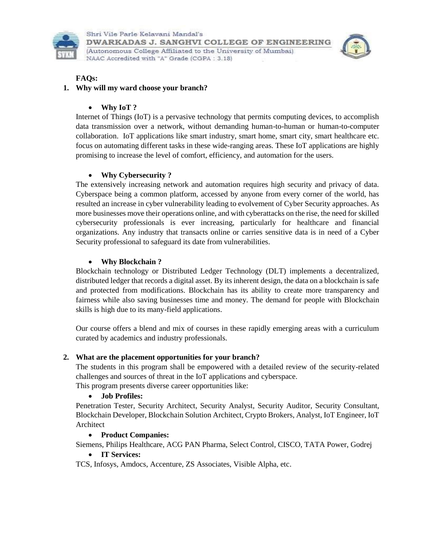



#### **FAQs:**

#### **1. Why will my ward choose your branch?**

#### **Why IoT ?**

Internet of Things (IoT) is a pervasive technology that permits computing devices, to accomplish data transmission over a network, without demanding human-to-human or human-to-computer collaboration. IoT applications like smart industry, smart home, smart city, smart healthcare etc. focus on automating different tasks in these wide-ranging areas. These IoT applications are highly promising to increase the level of comfort, efficiency, and automation for the users.

## **Why Cybersecurity ?**

The extensively increasing network and automation requires high security and privacy of data. Cyberspace being a common platform, accessed by anyone from every corner of the world, has resulted an increase in cyber vulnerability leading to evolvement of Cyber Security approaches. As more businesses move their operations online, and with cyberattacks on the rise, the need for skilled cybersecurity professionals is ever increasing, particularly for healthcare and financial organizations. Any industry that transacts online or carries sensitive data is in need of a Cyber Security professional to safeguard its date from vulnerabilities.

#### **Why Blockchain ?**

Blockchain technology or Distributed Ledger Technology (DLT) implements a decentralized, distributed ledger that records a digital asset. By its inherent design, the data on a blockchain is safe and protected from modifications. Blockchain has its ability to create more transparency and fairness while also saving businesses time and money. The demand for people with Blockchain skills is high due to its many-field applications.

Our course offers a blend and mix of courses in these rapidly emerging areas with a curriculum curated by academics and industry professionals.

## **2. What are the placement opportunities for your branch?**

The students in this program shall be empowered with a detailed review of the security-related challenges and sources of threat in the IoT applications and cyberspace.

This program presents diverse career opportunities like:

## **Job Profiles:**

Penetration Tester, Security Architect, Security Analyst, Security Auditor, Security Consultant, Blockchain Developer, Blockchain Solution Architect, Crypto Brokers, Analyst, IoT Engineer, IoT Architect

## **Product Companies:**

Siemens, Philips Healthcare, ACG PAN Pharma, Select Control, CISCO, TATA Power, Godrej

## **IT Services:**

TCS, Infosys, Amdocs, Accenture, ZS Associates, Visible Alpha, etc.